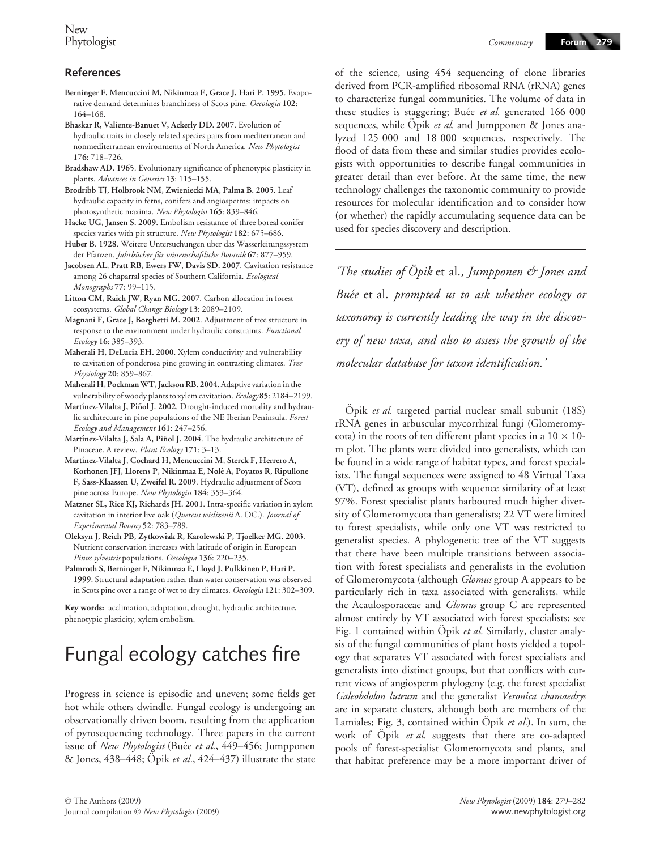- Berninger F, Mencuccini M, Nikinmaa E, Grace J, Hari P. 1995. Evaporative demand determines branchiness of Scots pine. Oecologia 102: 164–168.
- Bhaskar R, Valiente-Banuet V, Ackerly DD. 2007. Evolution of hydraulic traits in closely related species pairs from mediterranean and nonmediterranean environments of North America. New Phytologist 176: 718–726.
- Bradshaw AD. 1965. Evolutionary significance of phenotypic plasticity in plants. Advances in Genetics 13: 115–155.
- Brodribb TJ, Holbrook NM, Zwieniecki MA, Palma B. 2005. Leaf hydraulic capacity in ferns, conifers and angiosperms: impacts on photosynthetic maxima. New Phytologist 165: 839–846.
- Hacke UG, Jansen S. 2009. Embolism resistance of three boreal conifer species varies with pit structure. New Phytologist 182: 675-686.
- Huber B. 1928. Weitere Untersuchungen uber das Wasserleitungssystem der Pfanzen. Jahrbücher für wissenschaftliche Botanik 67: 877–959.
- Jacobsen AL, Pratt RB, Ewers FW, Davis SD. 2007. Cavitation resistance among 26 chaparral species of Southern California. Ecological Monographs 77: 99–115.
- Litton CM, Raich JW, Ryan MG. 2007. Carbon allocation in forest ecosystems. Global Change Biology 13: 2089–2109.
- Magnani F, Grace J, Borghetti M. 2002. Adjustment of tree structure in response to the environment under hydraulic constraints. Functional Ecology 16: 385–393.
- Maherali H, DeLucia EH. 2000. Xylem conductivity and vulnerability to cavitation of ponderosa pine growing in contrasting climates. Tree Physiology 20: 859–867.
- Maherali H, PockmanWT, Jackson RB. 2004. Adaptive variation in the vulnerability of woody plants to xylem cavitation. Ecology 85: 2184–2199.
- Martínez-Vilalta J, Piñol J. 2002. Drought-induced mortality and hydraulic architecture in pine populations of the NE Iberian Peninsula. Forest Ecology and Management 161: 247–256.
- Martínez-Vilalta J, Sala A, Piñol J. 2004. The hydraulic architecture of Pinaceae. A review. Plant Ecology 171: 3-13.
- Martínez-Vilalta J, Cochard H, Mencuccini M, Sterck F, Herrero A, Korhonen JFJ, Llorens P, Nikinmaa E, Nole` A, Poyatos R, Ripullone F, Sass-Klaassen U, Zweifel R. 2009. Hydraulic adjustment of Scots pine across Europe. New Phytologist 184: 353–364.
- Matzner SL, Rice KJ, Richards JH. 2001. Intra-specific variation in xylem cavitation in interior live oak (Quercus wislizenii A. DC.). Journal of Experimental Botany 52: 783–789.
- Oleksyn J, Reich PB, Zytkowiak R, Karolewski P, Tjoelker MG. 2003. Nutrient conservation increases with latitude of origin in European Pinus sylvestris populations. Oecologia 136: 220–235.
- Palmroth S, Berninger F, Nikinmaa E, Lloyd J, Pulkkinen P, Hari P. 1999. Structural adaptation rather than water conservation was observed in Scots pine over a range of wet to dry climates. Oecologia 121: 302–309.

Key words: acclimation, adaptation, drought, hydraulic architecture, phenotypic plasticity, xylem embolism.

## Fungal ecology catches fire

Progress in science is episodic and uneven; some fields get hot while others dwindle. Fungal ecology is undergoing an observationally driven boom, resulting from the application of pyrosequencing technology. Three papers in the current issue of New Phytologist (Buée et al., 449-456; Jumpponen & Jones,  $438-448$ ;  $\ddot{O}$  pik *et al.*,  $424-437$ ) illustrate the state of the science, using 454 sequencing of clone libraries derived from PCR-amplified ribosomal RNA (rRNA) genes to characterize fungal communities. The volume of data in these studies is staggering; Buée et al. generated 166 000 sequences, while  $\ddot{O}$  pik et al. and Jumpponen & Jones analyzed 125 000 and 18 000 sequences, respectively. The flood of data from these and similar studies provides ecologists with opportunities to describe fungal communities in greater detail than ever before. At the same time, the new technology challenges the taxonomic community to provide resources for molecular identification and to consider how (or whether) the rapidly accumulating sequence data can be used for species discovery and description.

'The studies of  $\ddot{O}$  pik et al., Jumpponen  $\acute{\sigma}$  Jones and Buée et al. prompted us to ask whether ecology or taxonomy is currently leading the way in the discovery of new taxa, and also to assess the growth of the molecular database for taxon identification.'

Öpik et al. targeted partial nuclear small subunit (18S) rRNA genes in arbuscular mycorrhizal fungi (Glomeromycota) in the roots of ten different plant species in a  $10 \times 10$ m plot. The plants were divided into generalists, which can be found in a wide range of habitat types, and forest specialists. The fungal sequences were assigned to 48 Virtual Taxa (VT), defined as groups with sequence similarity of at least 97%. Forest specialist plants harboured much higher diversity of Glomeromycota than generalists; 22 VT were limited to forest specialists, while only one VT was restricted to generalist species. A phylogenetic tree of the VT suggests that there have been multiple transitions between association with forest specialists and generalists in the evolution of Glomeromycota (although *Glomus* group A appears to be particularly rich in taxa associated with generalists, while the Acaulosporaceae and *Glomus* group C are represented almost entirely by VT associated with forest specialists; see Fig. 1 contained within Öpik et al. Similarly, cluster analysis of the fungal communities of plant hosts yielded a topology that separates VT associated with forest specialists and generalists into distinct groups, but that conflicts with current views of angiosperm phylogeny (e.g. the forest specialist Galeobdolon luteum and the generalist Veronica chamaedrys are in separate clusters, although both are members of the Lamiales; Fig. 3, contained within Opik et al.). In sum, the work of Öpik et al. suggests that there are co-adapted pools of forest-specialist Glomeromycota and plants, and that habitat preference may be a more important driver of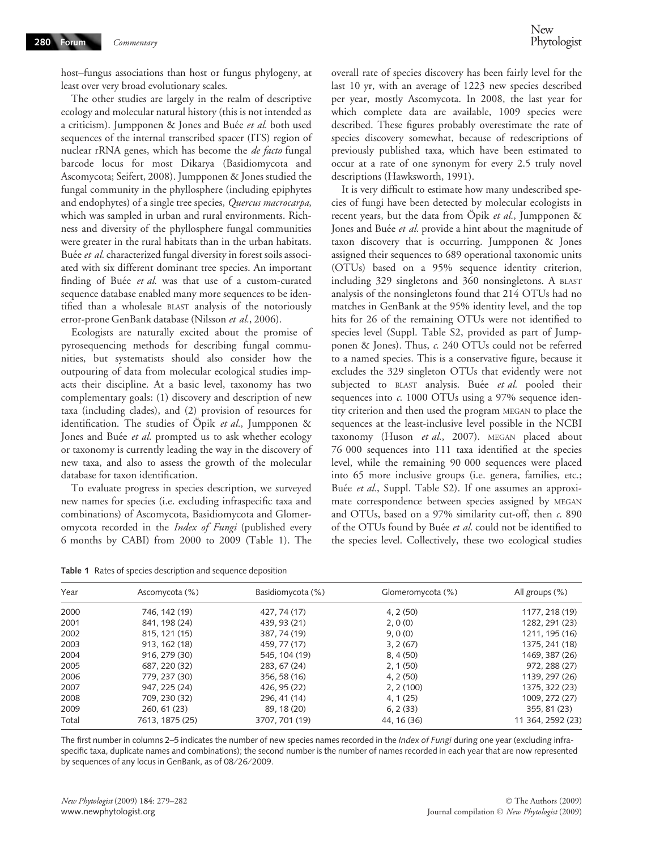host–fungus associations than host or fungus phylogeny, at least over very broad evolutionary scales.

The other studies are largely in the realm of descriptive ecology and molecular natural history (this is not intended as a criticism). Jumpponen & Jones and Buée et al. both used sequences of the internal transcribed spacer (ITS) region of nuclear rRNA genes, which has become the de facto fungal barcode locus for most Dikarya (Basidiomycota and Ascomycota; Seifert, 2008). Jumpponen & Jones studied the fungal community in the phyllosphere (including epiphytes and endophytes) of a single tree species, Quercus macrocarpa, which was sampled in urban and rural environments. Richness and diversity of the phyllosphere fungal communities were greater in the rural habitats than in the urban habitats. Buée et al. characterized fungal diversity in forest soils associated with six different dominant tree species. An important finding of Buée et al. was that use of a custom-curated sequence database enabled many more sequences to be identified than a wholesale BLAST analysis of the notoriously error-prone GenBank database (Nilsson et al., 2006).

Ecologists are naturally excited about the promise of pyrosequencing methods for describing fungal communities, but systematists should also consider how the outpouring of data from molecular ecological studies impacts their discipline. At a basic level, taxonomy has two complementary goals: (1) discovery and description of new taxa (including clades), and (2) provision of resources for identification. The studies of Öpik et al., Jumpponen & Jones and Buée et al. prompted us to ask whether ecology or taxonomy is currently leading the way in the discovery of new taxa, and also to assess the growth of the molecular database for taxon identification.

To evaluate progress in species description, we surveyed new names for species (i.e. excluding infraspecific taxa and combinations) of Ascomycota, Basidiomycota and Glomeromycota recorded in the Index of Fungi (published every 6 months by CABI) from 2000 to 2009 (Table 1). The

Table 1 Rates of species description and sequence deposition

overall rate of species discovery has been fairly level for the last 10 yr, with an average of 1223 new species described per year, mostly Ascomycota. In 2008, the last year for which complete data are available, 1009 species were described. These figures probably overestimate the rate of species discovery somewhat, because of redescriptions of previously published taxa, which have been estimated to occur at a rate of one synonym for every 2.5 truly novel descriptions (Hawksworth, 1991).

It is very difficult to estimate how many undescribed species of fungi have been detected by molecular ecologists in recent years, but the data from Öpik et al., Jumpponen & Jones and Buée et al. provide a hint about the magnitude of taxon discovery that is occurring. Jumpponen & Jones assigned their sequences to 689 operational taxonomic units (OTUs) based on a 95% sequence identity criterion, including 329 singletons and 360 nonsingletons. A BLAST analysis of the nonsingletons found that 214 OTUs had no matches in GenBank at the 95% identity level, and the top hits for 26 of the remaining OTUs were not identified to species level (Suppl. Table S2, provided as part of Jumpponen & Jones). Thus, c. 240 OTUs could not be referred to a named species. This is a conservative figure, because it excludes the 329 singleton OTUs that evidently were not subjected to BLAST analysis. Buée et al. pooled their sequences into c. 1000 OTUs using a 97% sequence identity criterion and then used the program MEGAN to place the sequences at the least-inclusive level possible in the NCBI taxonomy (Huson et al., 2007). MEGAN placed about 76 000 sequences into 111 taxa identified at the species level, while the remaining 90 000 sequences were placed into 65 more inclusive groups (i.e. genera, families, etc.; Buée et al., Suppl. Table S2). If one assumes an approximate correspondence between species assigned by MEGAN and OTUs, based on a 97% similarity cut-off, then c. 890 of the OTUs found by Buée et al. could not be identified to the species level. Collectively, these two ecological studies

| Year  | Ascomycota (%)  | Basidiomycota (%) | Glomeromycota (%) | All groups (%)    |
|-------|-----------------|-------------------|-------------------|-------------------|
| 2000  | 746, 142 (19)   | 427, 74 (17)      | 4, 2(50)          | 1177, 218 (19)    |
| 2001  | 841, 198 (24)   | 439, 93 (21)      | 2, 0(0)           | 1282, 291 (23)    |
| 2002  | 815, 121 (15)   | 387, 74 (19)      | 9.0(0)            | 1211, 195 (16)    |
| 2003  | 913, 162 (18)   | 459, 77 (17)      | 3, 2(67)          | 1375, 241 (18)    |
| 2004  | 916, 279 (30)   | 545, 104 (19)     | 8, 4(50)          | 1469, 387 (26)    |
| 2005  | 687, 220 (32)   | 283, 67 (24)      | 2, 1(50)          | 972, 288 (27)     |
| 2006  | 779, 237 (30)   | 356, 58 (16)      | 4, 2(50)          | 1139, 297 (26)    |
| 2007  | 947.225 (24)    | 426.95 (22)       | 2, 2(100)         | 1375, 322 (23)    |
| 2008  | 709, 230 (32)   | 296, 41 (14)      | 4, 1(25)          | 1009, 272 (27)    |
| 2009  | 260, 61 (23)    | 89, 18 (20)       | 6, 2(33)          | 355, 81 (23)      |
| Total | 7613, 1875 (25) | 3707, 701 (19)    | 44, 16 (36)       | 11 364, 2592 (23) |

The first number in columns 2–5 indicates the number of new species names recorded in the Index of Fungi during one year (excluding infraspecific taxa, duplicate names and combinations); the second number is the number of names recorded in each year that are now represented by sequences of any locus in GenBank, as of 08/26/2009.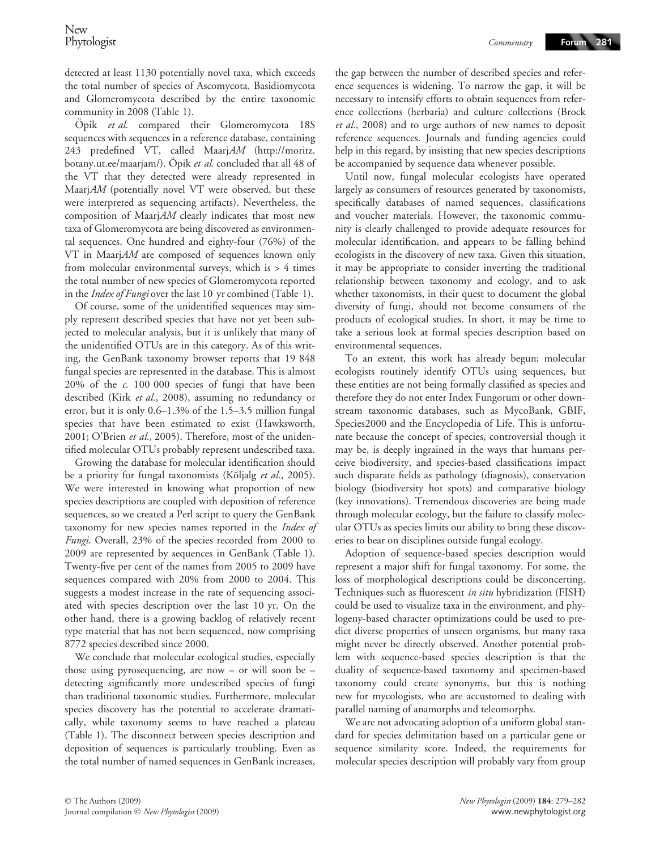detected at least 1130 potentially novel taxa, which exceeds the total number of species of Ascomycota, Basidiomycota and Glomeromycota described by the entire taxonomic community in 2008 (Table 1).

Öpik et al. compared their Glomeromycota 18S sequences with sequences in a reference database, containing 243 predefined VT, called MaarjAM (http://moritz. botany.ut.ee/maarjam/). Opik et al. concluded that all 48 of the VT that they detected were already represented in MaarjAM (potentially novel VT were observed, but these were interpreted as sequencing artifacts). Nevertheless, the composition of MaarjAM clearly indicates that most new taxa of Glomeromycota are being discovered as environmental sequences. One hundred and eighty-four (76%) of the VT in MaarjAM are composed of sequences known only from molecular environmental surveys, which is > 4 times the total number of new species of Glomeromycota reported in the *Index of Fungi* over the last 10 yr combined (Table 1).

Of course, some of the unidentified sequences may simply represent described species that have not yet been subjected to molecular analysis, but it is unlikely that many of the unidentified OTUs are in this category. As of this writing, the GenBank taxonomy browser reports that 19 848 fungal species are represented in the database. This is almost 20% of the c. 100 000 species of fungi that have been described (Kirk et al., 2008), assuming no redundancy or error, but it is only 0.6–1.3% of the 1.5–3.5 million fungal species that have been estimated to exist (Hawksworth, 2001; O'Brien et al., 2005). Therefore, most of the unidentified molecular OTUs probably represent undescribed taxa.

Growing the database for molecular identification should be a priority for fungal taxonomists (Kõljalg et al., 2005). We were interested in knowing what proportion of new species descriptions are coupled with deposition of reference sequences, so we created a Perl script to query the GenBank taxonomy for new species names reported in the Index of Fungi. Overall, 23% of the species recorded from 2000 to 2009 are represented by sequences in GenBank (Table 1). Twenty-five per cent of the names from 2005 to 2009 have sequences compared with 20% from 2000 to 2004. This suggests a modest increase in the rate of sequencing associated with species description over the last 10 yr. On the other hand, there is a growing backlog of relatively recent type material that has not been sequenced, now comprising 8772 species described since 2000.

We conclude that molecular ecological studies, especially those using pyrosequencing, are now – or will soon be – detecting significantly more undescribed species of fungi than traditional taxonomic studies. Furthermore, molecular species discovery has the potential to accelerate dramatically, while taxonomy seems to have reached a plateau (Table 1). The disconnect between species description and deposition of sequences is particularly troubling. Even as the total number of named sequences in GenBank increases, the gap between the number of described species and reference sequences is widening. To narrow the gap, it will be necessary to intensify efforts to obtain sequences from reference collections (herbaria) and culture collections (Brock et al., 2008) and to urge authors of new names to deposit reference sequences. Journals and funding agencies could help in this regard, by insisting that new species descriptions be accompanied by sequence data whenever possible.

Until now, fungal molecular ecologists have operated largely as consumers of resources generated by taxonomists, specifically databases of named sequences, classifications and voucher materials. However, the taxonomic community is clearly challenged to provide adequate resources for molecular identification, and appears to be falling behind ecologists in the discovery of new taxa. Given this situation, it may be appropriate to consider inverting the traditional relationship between taxonomy and ecology, and to ask whether taxonomists, in their quest to document the global diversity of fungi, should not become consumers of the products of ecological studies. In short, it may be time to take a serious look at formal species description based on environmental sequences.

To an extent, this work has already begun; molecular ecologists routinely identify OTUs using sequences, but these entities are not being formally classified as species and therefore they do not enter Index Fungorum or other downstream taxonomic databases, such as MycoBank, GBIF, Species2000 and the Encyclopedia of Life. This is unfortunate because the concept of species, controversial though it may be, is deeply ingrained in the ways that humans perceive biodiversity, and species-based classifications impact such disparate fields as pathology (diagnosis), conservation biology (biodiversity hot spots) and comparative biology (key innovations). Tremendous discoveries are being made through molecular ecology, but the failure to classify molecular OTUs as species limits our ability to bring these discoveries to bear on disciplines outside fungal ecology.

Adoption of sequence-based species description would represent a major shift for fungal taxonomy. For some, the loss of morphological descriptions could be disconcerting. Techniques such as fluorescent in situ hybridization (FISH) could be used to visualize taxa in the environment, and phylogeny-based character optimizations could be used to predict diverse properties of unseen organisms, but many taxa might never be directly observed. Another potential problem with sequence-based species description is that the duality of sequence-based taxonomy and specimen-based taxonomy could create synonyms, but this is nothing new for mycologists, who are accustomed to dealing with parallel naming of anamorphs and teleomorphs.

We are not advocating adoption of a uniform global standard for species delimitation based on a particular gene or sequence similarity score. Indeed, the requirements for molecular species description will probably vary from group